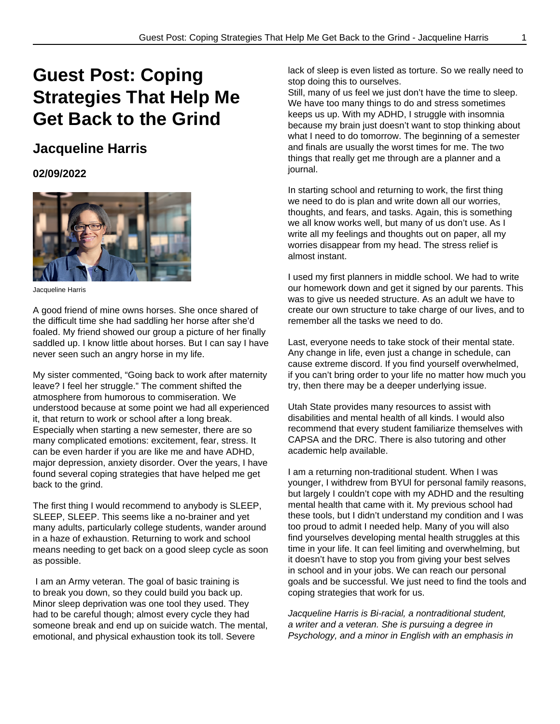## **Guest Post: Coping Strategies That Help Me Get Back to the Grind**

## **Jacqueline Harris**

## **02/09/2022**



Jacqueline Harris

A good friend of mine owns horses. She once shared of the difficult time she had saddling her horse after she'd foaled. My friend showed our group a picture of her finally saddled up. I know little about horses. But I can say I have never seen such an angry horse in my life.

My sister commented, "Going back to work after maternity leave? I feel her struggle." The comment shifted the atmosphere from humorous to commiseration. We understood because at some point we had all experienced it, that return to work or school after a long break. Especially when starting a new semester, there are so many complicated emotions: excitement, fear, stress. It can be even harder if you are like me and have ADHD, major depression, anxiety disorder. Over the years, I have found several coping strategies that have helped me get back to the grind.

The first thing I would recommend to anybody is SLEEP, SLEEP, SLEEP. This seems like a no-brainer and yet many adults, particularly college students, wander around in a haze of exhaustion. Returning to work and school means needing to get back on a good sleep cycle as soon as possible.

 I am an Army veteran. The goal of basic training is to break you down, so they could build you back up. Minor sleep deprivation was one tool they used. They had to be careful though; almost every cycle they had someone break and end up on suicide watch. The mental, emotional, and physical exhaustion took its toll. Severe

lack of sleep is even listed as torture. So we really need to stop doing this to ourselves.

Still, many of us feel we just don't have the time to sleep. We have too many things to do and stress sometimes keeps us up. With my ADHD, I struggle with insomnia because my brain just doesn't want to stop thinking about what I need to do tomorrow. The beginning of a semester and finals are usually the worst times for me. The two things that really get me through are a planner and a journal.

In starting school and returning to work, the first thing we need to do is plan and write down all our worries, thoughts, and fears, and tasks. Again, this is something we all know works well, but many of us don't use. As I write all my feelings and thoughts out on paper, all my worries disappear from my head. The stress relief is almost instant.

I used my first planners in middle school. We had to write our homework down and get it signed by our parents. This was to give us needed structure. As an adult we have to create our own structure to take charge of our lives, and to remember all the tasks we need to do.

Last, everyone needs to take stock of their mental state. Any change in life, even just a change in schedule, can cause extreme discord. If you find yourself overwhelmed, if you can't bring order to your life no matter how much you try, then there may be a deeper underlying issue.

Utah State provides many resources to assist with disabilities and mental health of all kinds. I would also recommend that every student familiarize themselves with CAPSA and the DRC. There is also tutoring and other academic help available.

I am a returning non-traditional student. When I was younger, I withdrew from BYUl for personal family reasons, but largely I couldn't cope with my ADHD and the resulting mental health that came with it. My previous school had these tools, but I didn't understand my condition and I was too proud to admit I needed help. Many of you will also find yourselves developing mental health struggles at this time in your life. It can feel limiting and overwhelming, but it doesn't have to stop you from giving your best selves in school and in your jobs. We can reach our personal goals and be successful. We just need to find the tools and coping strategies that work for us.

Jacqueline Harris is Bi-racial, a nontraditional student, a writer and a veteran. She is pursuing a degree in Psychology, and a minor in English with an emphasis in